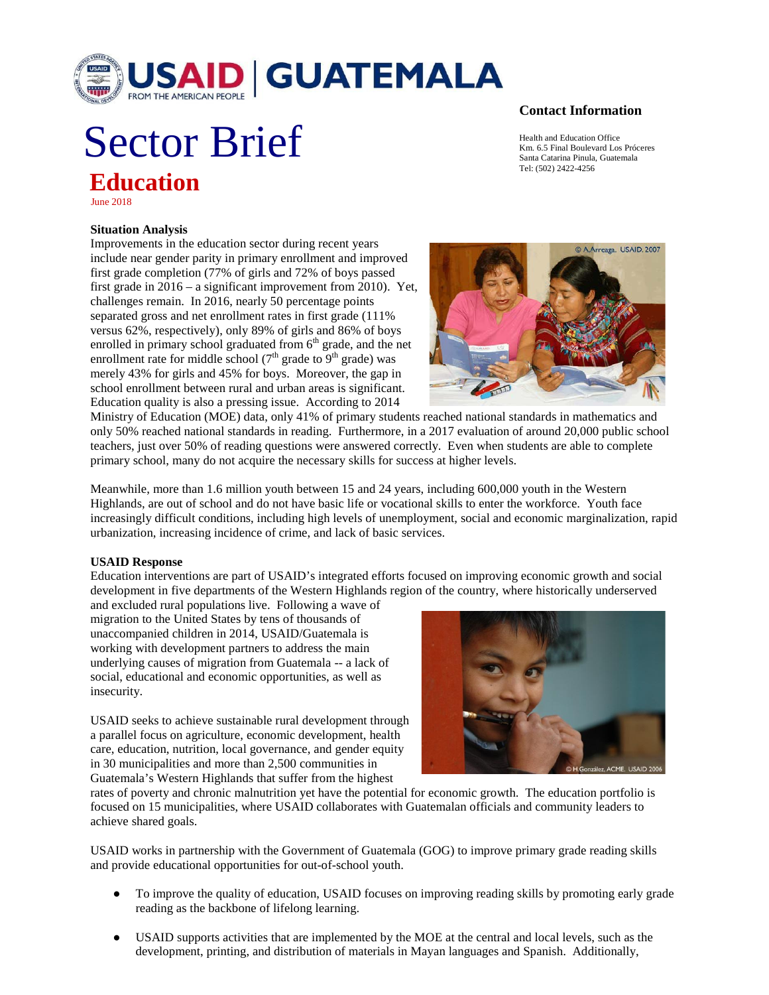

# Sector Brief **Education**

June 2018

### **Situation Analysis**

Improvements in the education sector during recent years include near gender parity in primary enrollment and improved first grade completion (77% of girls and 72% of boys passed first grade in 2016 – a significant improvement from 2010). Yet, challenges remain. In 2016, nearly 50 percentage points separated gross and net enrollment rates in first grade (111% versus 62%, respectively), only 89% of girls and 86% of boys enrolled in primary school graduated from  $6<sup>th</sup>$  grade, and the net enrollment rate for middle school  $(7<sup>th</sup>$  grade to  $9<sup>th</sup>$  grade) was merely 43% for girls and 45% for boys. Moreover, the gap in school enrollment between rural and urban areas is significant. Education quality is also a pressing issue. According to 2014

# © A Arreaga. USAID. 2007

Ministry of Education (MOE) data, only 41% of primary students reached national standards in mathematics and only 50% reached national standards in reading. Furthermore, in a 2017 evaluation of around 20,000 public school teachers, just over 50% of reading questions were answered correctly. Even when students are able to complete primary school, many do not acquire the necessary skills for success at higher levels.

Meanwhile, more than 1.6 million youth between 15 and 24 years, including 600,000 youth in the Western Highlands, are out of school and do not have basic life or vocational skills to enter the workforce. Youth face increasingly difficult conditions, including high levels of unemployment, social and economic marginalization, rapid urbanization, increasing incidence of crime, and lack of basic services.

### **USAID Response**

Education interventions are part of USAID's integrated efforts focused on improving economic growth and social development in five departments of the Western Highlands region of the country, where historically underserved

and excluded rural populations live. Following a wave of migration to the United States by tens of thousands of unaccompanied children in 2014, USAID/Guatemala is working with development partners to address the main underlying causes of migration from Guatemala -- a lack of social, educational and economic opportunities, as well as insecurity.

USAID seeks to achieve sustainable rural development through a parallel focus on agriculture, economic development, health care, education, nutrition, local governance, and gender equity in 30 municipalities and more than 2,500 communities in Guatemala's Western Highlands that suffer from the highest



rates of poverty and chronic malnutrition yet have the potential for economic growth. The education portfolio is focused on 15 municipalities, where USAID collaborates with Guatemalan officials and community leaders to achieve shared goals.

USAID works in partnership with the Government of Guatemala (GOG) to improve primary grade reading skills and provide educational opportunities for out-of-school youth.

- To improve the quality of education, USAID focuses on improving reading skills by promoting early grade reading as the backbone of lifelong learning.
- USAID supports activities that are implemented by the MOE at the central and local levels, such as the development, printing, and distribution of materials in Mayan languages and Spanish. Additionally,

## **Contact Information**

Health and Education Office Km. 6.5 Final Boulevard Los Próceres Santa Catarina Pinula, Guatemala Tel: (502) 2422-4256